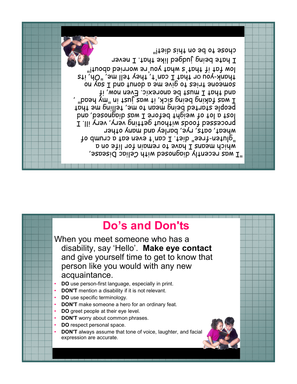



When you meet someone who has a disability, say 'Hello'. **Make eye contact** and give yourself time to get to know that person like you would with any new acquaintance.

- **DO** use person-first language, especially in print.
- **DON'T** mention a disability if it is not relevant.
- **DO** use specific terminology.
- **DON'T** make someone a hero for an ordinary feat.
- **DO** greet people at their eye level.
- **DON'T** worry about common phrases.
- **DO** respect personal space.
- **DON'T** always assume that tone of voice, laughter, and facial expression are accurate.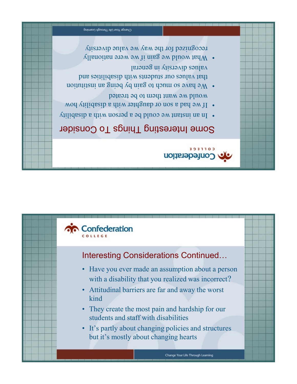

- They create the most pain and hardship for our students and staff with disabilities
- Attitudinal barriers are far and away the worst kind
- Have you ever made an assumption about a person with a disability that you realized was incorrect?

## Interesting Considerations Continued…



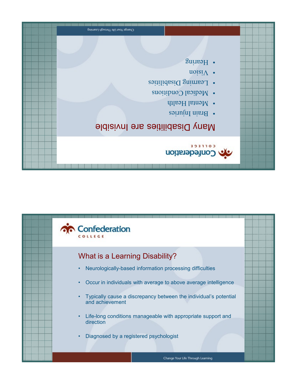

- Life-long conditions manageable with appropriate support and direction
- Typically cause a discrepancy between the individual's potential and achievement
- Occur in individuals with average to above average intelligence
- Neurologically-based information processing difficulties

## What is a Learning Disability?



| Сhange Your Life Through Learning                                                                           |  |
|-------------------------------------------------------------------------------------------------------------|--|
| <sup>•</sup> Hearing                                                                                        |  |
| $\text{noisi}\$ .<br>• Learning Disabilities<br>• Medical Conditions<br>• Mental Health<br>· Brain Injuries |  |
| <b>Many Disabilities are Invisible</b>                                                                      |  |
| <b>COLLEGE</b><br>onfederation                                                                              |  |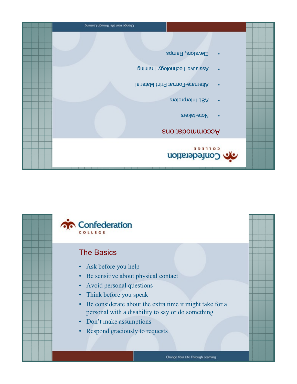

- Respond graciously to requests
- 
- 
- 
- Don't make assumptions
- 
- personal with a disability to say or do something
- Be considerate about the extra time it might take for a
- Think before you speak
- Avoid personal questions
- Be sensitive about physical contact
- Ask before you help

Спапде Your Life Through Learning

## The Basics

Confederation COLLEGE

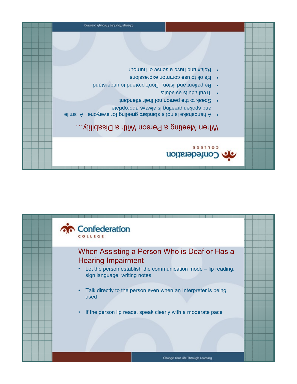

Confederation

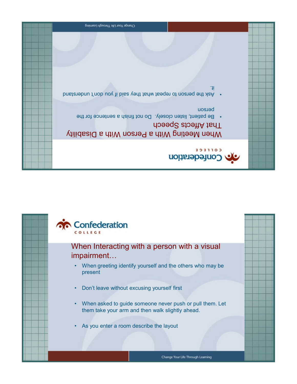

- When asked to guide someone never push or pull them. Let them take your arm and then walk slightly ahead.
- Don't leave without excusing yourself first

**Confederation** COLLEGE

> • When greeting identify yourself and the others who may be present

## When Interacting with a person with a visual impairment…

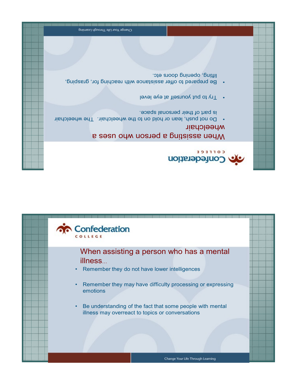

- Remember they may have difficulty processing or expressing emotions
- Remember they do not have lower intelligences

When assisting a person who has a mental illness…



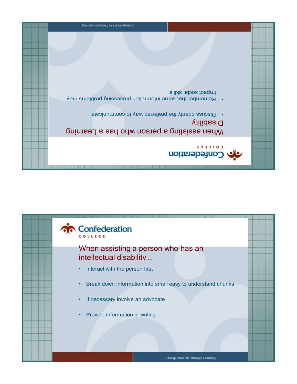- Provide information in writing
- If necessary involve an advocate
- Break down information into small easy to understand chunks
- Interact with the person first

Confederation

When assisting a person who has an intellectual disability….